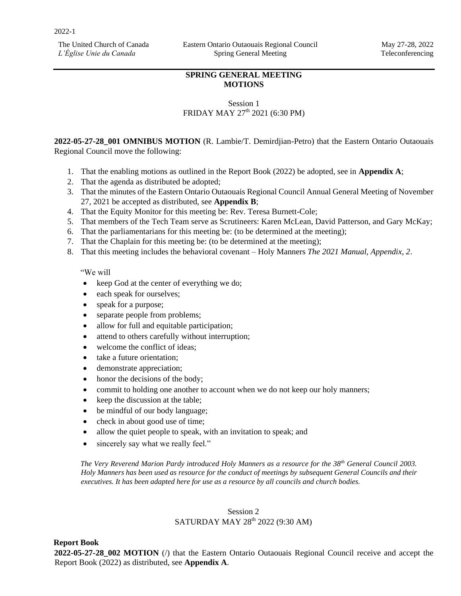The United Church of Canada *L'Église Unie du Canada*

## **SPRING GENERAL MEETING MOTIONS**

## Session 1 FRIDAY MAY 27<sup>th</sup> 2021 (6:30 PM)

**2022-05-27-28\_001 OMNIBUS MOTION** (R. Lambie/T. Demirdjian-Petro) that the Eastern Ontario Outaouais Regional Council move the following:

- 1. That the enabling motions as outlined in the Report Book (2022) be adopted, see in **Appendix A**;
- 2. That the agenda as distributed be adopted;
- 3. That the minutes of the Eastern Ontario Outaouais Regional Council Annual General Meeting of November 27, 2021 be accepted as distributed, see **Appendix B**;
- 4. That the Equity Monitor for this meeting be: Rev. Teresa Burnett-Cole;
- 5. That members of the Tech Team serve as Scrutineers: Karen McLean, David Patterson, and Gary McKay;
- 6. That the parliamentarians for this meeting be: (to be determined at the meeting);
- 7. That the Chaplain for this meeting be: (to be determined at the meeting);
- 8. That this meeting includes the behavioral covenant Holy Manners *The 2021 Manual, Appendix, 2*.

### "We will

- keep God at the center of everything we do;
- each speak for ourselves;
- speak for a purpose;
- separate people from problems;
- allow for full and equitable participation;
- attend to others carefully without interruption;
- welcome the conflict of ideas;
- take a future orientation:
- demonstrate appreciation;
- honor the decisions of the body;
- commit to holding one another to account when we do not keep our holy manners;
- keep the discussion at the table;
- be mindful of our body language;
- check in about good use of time;
- allow the quiet people to speak, with an invitation to speak; and
- sincerely say what we really feel."

*The Very Reverend Marion Pardy introduced Holy Manners as a resource for the 38th General Council 2003. Holy Manners has been used as resource for the conduct of meetings by subsequent General Councils and their executives. It has been adapted here for use as a resource by all councils and church bodies.* 

## Session 2 SATURDAY MAY 28<sup>th</sup> 2022 (9:30 AM)

### **Report Book**

**2022-05-27-28\_002 MOTION** (/) that the Eastern Ontario Outaouais Regional Council receive and accept the Report Book (2022) as distributed, see **Appendix A**.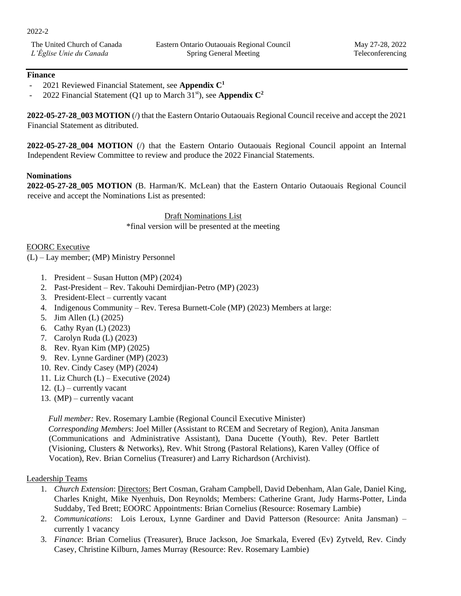The United Church of Canada *L'Église Unie du Canada*

## **Finance**

- 2021 Reviewed Financial Statement, see **Appendix C<sup>1</sup>**
- 2022 Financial Statement (Q1 up to March  $31<sup>st</sup>$ ), see **Appendix C<sup>2</sup>**

**2022-05-27-28\_003 MOTION** (/) that the Eastern Ontario Outaouais Regional Council receive and accept the 2021 Financial Statement as ditributed.

**2022-05-27-28\_004 MOTION** (/) that the Eastern Ontario Outaouais Regional Council appoint an Internal Independent Review Committee to review and produce the 2022 Financial Statements.

### **Nominations**

**2022-05-27-28\_005 MOTION** (B. Harman/K. McLean) that the Eastern Ontario Outaouais Regional Council receive and accept the Nominations List as presented:

> Draft Nominations List \*final version will be presented at the meeting

### EOORC Executive

(L) – Lay member; (MP) Ministry Personnel

- 1. President *–* Susan Hutton (MP) (2024)
- 2. Past-President Rev. Takouhi Demirdjian-Petro (MP) (2023)
- 3. President-Elect currently vacant
- 4. Indigenous Community Rev. Teresa Burnett-Cole (MP) (2023) Members at large:
- 5. Jim Allen (L) (2025)
- 6. Cathy Ryan (L) (2023)
- 7. Carolyn Ruda (L) (2023)
- 8. Rev. Ryan Kim (MP) (2025)
- 9. Rev. Lynne Gardiner (MP) (2023)
- 10. Rev. Cindy Casey (MP) (2024)
- 11. Liz Church  $(L)$  Executive (2024)
- 12.  $(L)$  currently vacant
- 13. (MP) currently vacant

*Full member:* Rev. Rosemary Lambie (Regional Council Executive Minister)

*Corresponding Member*s: Joel Miller (Assistant to RCEM and Secretary of Region), Anita Jansman (Communications and Administrative Assistant), Dana Ducette (Youth), Rev. Peter Bartlett (Visioning, Clusters & Networks), Rev. Whit Strong (Pastoral Relations), Karen Valley (Office of Vocation), Rev. Brian Cornelius (Treasurer) and Larry Richardson (Archivist).

### Leadership Teams

- 1. *Church Extension*: Directors: Bert Cosman, Graham Campbell, David Debenham, Alan Gale, Daniel King, Charles Knight, Mike Nyenhuis, Don Reynolds; Members: Catherine Grant, Judy Harms-Potter, Linda Suddaby, Ted Brett; EOORC Appointments: Brian Cornelius (Resource: Rosemary Lambie)
- 2. *Communications*: Lois Leroux, Lynne Gardiner and David Patterson (Resource: Anita Jansman) currently 1 vacancy
- 3. *Finance*: Brian Cornelius (Treasurer), Bruce Jackson, Joe Smarkala, Evered (Ev) Zytveld, Rev. Cindy Casey, Christine Kilburn, James Murray (Resource: Rev. Rosemary Lambie)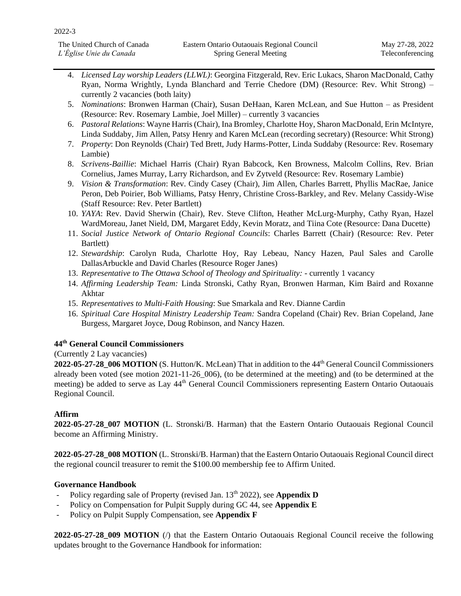- 4. *Licensed Lay worship Leaders (LLWL)*: Georgina Fitzgerald, Rev. Eric Lukacs, Sharon MacDonald, Cathy Ryan, Norma Wrightly, Lynda Blanchard and Terrie Chedore (DM) (Resource: Rev. Whit Strong) – currently 2 vacancies (both laity)
- 5. *Nominations*: Bronwen Harman (Chair), Susan DeHaan, Karen McLean, and Sue Hutton as President (Resource: Rev. Rosemary Lambie, Joel Miller) – currently 3 vacancies
- 6. *Pastoral Relations*: Wayne Harris (Chair), Ina Bromley, Charlotte Hoy, Sharon MacDonald, Erin McIntyre, Linda Suddaby, Jim Allen, Patsy Henry and Karen McLean (recording secretary) (Resource: Whit Strong)
- 7. *Property*: Don Reynolds (Chair) Ted Brett, Judy Harms-Potter, Linda Suddaby (Resource: Rev. Rosemary Lambie)
- 8. *Scrivens-Baillie*: Michael Harris (Chair) Ryan Babcock, Ken Browness, Malcolm Collins, Rev. Brian Cornelius, James Murray, Larry Richardson, and Ev Zytveld (Resource: Rev. Rosemary Lambie)
- 9. *Vision & Transformation*: Rev. Cindy Casey (Chair), Jim Allen, Charles Barrett, Phyllis MacRae, Janice Peron, Deb Poirier, Bob Williams, Patsy Henry, Christine Cross-Barkley, and Rev. Melany Cassidy-Wise (Staff Resource: Rev. Peter Bartlett)
- 10. *YAYA*: Rev. David Sherwin (Chair), Rev. Steve Clifton, Heather McLurg-Murphy, Cathy Ryan, Hazel WardMoreau, Janet Nield, DM, Margaret Eddy, Kevin Moratz, and Tiina Cote (Resource: Dana Ducette)
- 11. *Social Justice Network of Ontario Regional Councils*: Charles Barrett (Chair) (Resource: Rev. Peter Bartlett)
- 12. *Stewardship*: Carolyn Ruda, Charlotte Hoy, Ray Lebeau, Nancy Hazen, Paul Sales and Carolle DallasArbuckle and David Charles (Resource Roger Janes)
- 13. *Representative to The Ottawa School of Theology and Spirituality: -* currently 1 vacancy
- 14. *Affirming Leadership Team:* Linda Stronski, Cathy Ryan, Bronwen Harman, Kim Baird and Roxanne Akhtar
- 15. *Representatives to Multi-Faith Housing*: Sue Smarkala and Rev. Dianne Cardin
- 16. *Spiritual Care Hospital Ministry Leadership Team:* Sandra Copeland (Chair) Rev. Brian Copeland, Jane Burgess, Margaret Joyce, Doug Robinson, and Nancy Hazen.

# **44th General Council Commissioners**

(Currently 2 Lay vacancies)

2022-05-27-28\_006 MOTION (S. Hutton/K. McLean) That in addition to the 44<sup>th</sup> General Council Commissioners already been voted (see motion 2021-11-26\_006), (to be determined at the meeting) and (to be determined at the meeting) be added to serve as Lay 44<sup>th</sup> General Council Commissioners representing Eastern Ontario Outaouais Regional Council.

# **Affirm**

**2022-05-27-28\_007 MOTION** (L. Stronski/B. Harman) that the Eastern Ontario Outaouais Regional Council become an Affirming Ministry.

**2022-05-27-28\_008 MOTION** (L. Stronski/B. Harman) that the Eastern Ontario Outaouais Regional Council direct the regional council treasurer to remit the \$100.00 membership fee to Affirm United.

# **Governance Handbook**

- Policy regarding sale of Property (revised Jan. 13<sup>th</sup> 2022), see **Appendix D**
- Policy on Compensation for Pulpit Supply during GC 44, see **Appendix E**
- Policy on Pulpit Supply Compensation, see **Appendix F**

**2022-05-27-28\_009 MOTION** (/) that the Eastern Ontario Outaouais Regional Council receive the following updates brought to the Governance Handbook for information: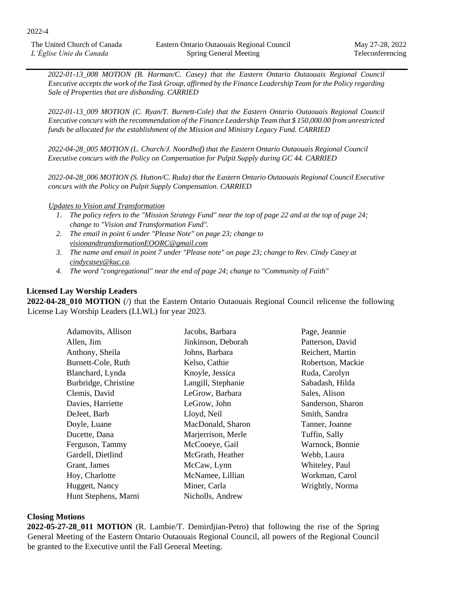The United Church of Canada *L'Église Unie du Canada*

*2022-01-13\_008 MOTION (B. Harman/C. Casey) that the Eastern Ontario Outaouais Regional Council Executive accepts the work of the Task Group, affirmed by the Finance Leadership Team for the Policy regarding Sale of Properties that are disbanding. CARRIED* 

*2022-01-13\_009 MOTION (C. Ryan/T. Burnett-Cole) that the Eastern Ontario Outaouais Regional Council Executive concurs with the recommendation of the Finance Leadership Team that \$ 150,000.00 from unrestricted funds be allocated for the establishment of the Mission and Ministry Legacy Fund. CARRIED* 

*2022-04-28\_005 MOTION (L. Church/J. Noordhof) that the Eastern Ontario Outaouais Regional Council Executive concurs with the Policy on Compensation for Pulpit Supply during GC 44. CARRIED* 

*2022-04-28\_006 MOTION (S. Hutton/C. Ruda) that the Eastern Ontario Outaouais Regional Council Executive concurs with the Policy on Pulpit Supply Compensation. CARRIED* 

#### *Updates to Vision and Transformation*

- *1. The policy refers to the "Mission Strategy Fund" near the top of page 22 and at the top of page 24; change to "Vision and Transformation Fund".*
- *2. The email in point 6 under "Please Note" on page 23; change to [visionandtransformationEOORC@gmail.com](mailto:visionandtransformationEOORC@gmail.com)*
- *3. The name and email in point 7 under "Please note" on page 23; change to Rev. Cindy Casey at [cindycasey@kuc.ca.](mailto:cindycasey@kuc.ca)*
- *4. The word "congregational" near the end of page 24; change to "Community of Faith"*

### **Licensed Lay Worship Leaders**

**2022-04-28\_010 MOTION** (/) that the Eastern Ontario Outaouais Regional Council relicense the following License Lay Worship Leaders (LLWL) for year 2023.

| Adamovits, Allison   | Jacobs, Barbara    | Page, Jeannie     |
|----------------------|--------------------|-------------------|
| Allen, Jim           | Jinkinson, Deborah | Patterson, David  |
| Anthony, Sheila      | Johns, Barbara     | Reichert, Martin  |
| Burnett-Cole, Ruth   | Kelso, Cathie      | Robertson, Mackie |
| Blanchard, Lynda     | Knoyle, Jessica    | Ruda, Carolyn     |
| Burbridge, Christine | Langill, Stephanie | Sabadash, Hilda   |
| Clemis, David        | LeGrow, Barbara    | Sales, Alison     |
| Davies, Harriette    | LeGrow, John       | Sanderson, Sharon |
| DeJeet, Barb         | Lloyd, Neil        | Smith, Sandra     |
| Doyle, Luane         | MacDonald, Sharon  | Tanner, Joanne    |
| Ducette, Dana        | Marjerrison, Merle | Tuffin, Sally     |
| Ferguson, Tammy      | McCooeye, Gail     | Warnock, Bonnie   |
| Gardell, Dietlind    | McGrath, Heather   | Webb, Laura       |
| Grant, James         | McCaw, Lynn        | Whiteley, Paul    |
| Hoy, Charlotte       | McNamee, Lillian   | Workman, Carol    |
| Huggett, Nancy       | Miner, Carla       | Wrightly, Norma   |
| Hunt Stephens, Marni | Nicholls, Andrew   |                   |

#### **Closing Motions**

**2022-05-27-28\_011 MOTION** (R. Lambie/T. Demirdjian-Petro) that following the rise of the Spring General Meeting of the Eastern Ontario Outaouais Regional Council, all powers of the Regional Council be granted to the Executive until the Fall General Meeting.